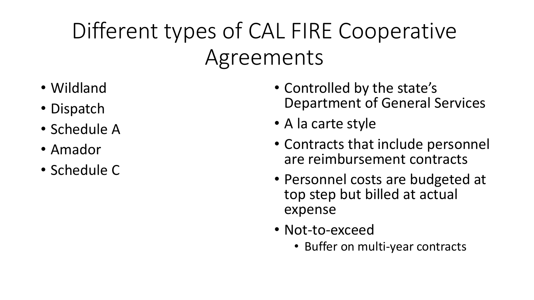# Different types of CAL FIRE Cooperative Agreements

- Wildland
- Dispatch
- Schedule A
- Amador
- Schedule C
- Controlled by the state's Department of General Services
- A la carte style
- Contracts that include personnel are reimbursement contracts
- Personnel costs are budgeted at top step but billed at actual expense
- Not-to-exceed
	- Buffer on multi-year contracts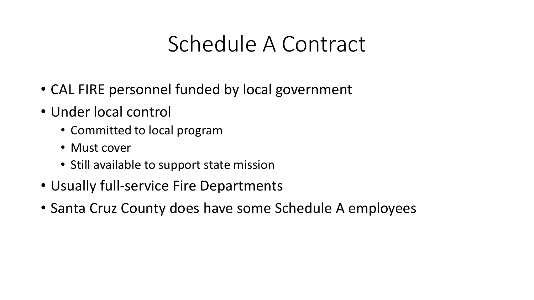#### Schedule A Contract

- CAL FIRE personnel funded by local government
- Under local control
	- Committed to local program
	- Must cover
	- Still available to support state mission
- Usually full-service Fire Departments
- Santa Cruz County does have some Schedule A employees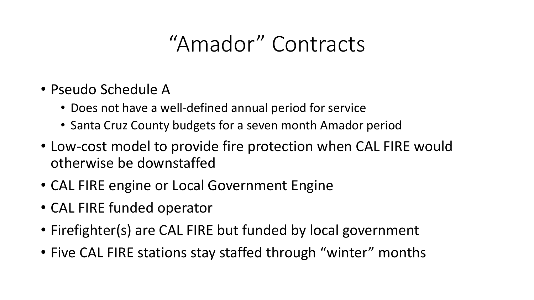#### "Amador" Contracts

- Pseudo Schedule A
	- Does not have a well-defined annual period for service
	- Santa Cruz County budgets for a seven month Amador period
- Low-cost model to provide fire protection when CAL FIRE would otherwise be downstaffed
- CAL FIRE engine or Local Government Engine
- CAL FIRE funded operator
- Firefighter(s) are CAL FIRE but funded by local government
- Five CAL FIRE stations stay staffed through "winter" months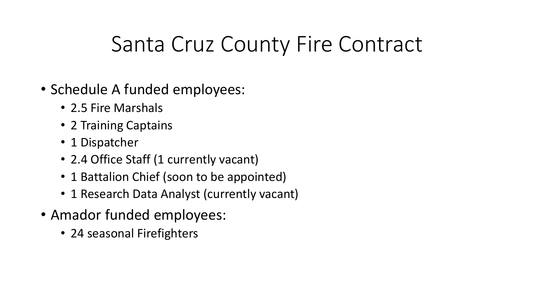## Santa Cruz County Fire Contract

- Schedule A funded employees:
	- 2.5 Fire Marshals
	- 2 Training Captains
	- 1 Dispatcher
	- 2.4 Office Staff (1 currently vacant)
	- 1 Battalion Chief (soon to be appointed)
	- 1 Research Data Analyst (currently vacant)
- Amador funded employees:
	- 24 seasonal Firefighters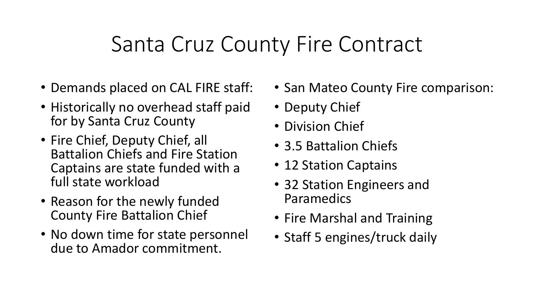## Santa Cruz County Fire Contract

- Demands placed on CAL FIRE staff:
- Historically no overhead staff paid for by Santa Cruz County
- Fire Chief, Deputy Chief, all Battalion Chiefs and Fire Station Captains are state funded with a full state workload
- Reason for the newly funded County Fire Battalion Chief
- No down time for state personnel due to Amador commitment.
- San Mateo County Fire comparison:
- Deputy Chief
- Division Chief
- 3.5 Battalion Chiefs
- 12 Station Captains
- 32 Station Engineers and Paramedics
- Fire Marshal and Training
- Staff 5 engines/truck daily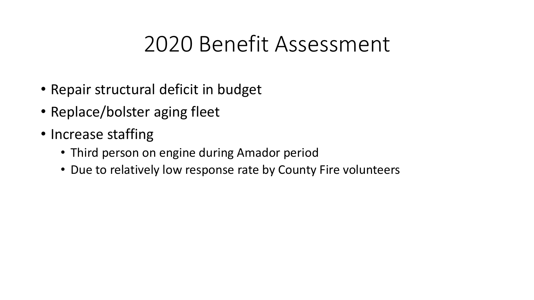## 2020 Benefit Assessment

- Repair structural deficit in budget
- Replace/bolster aging fleet
- Increase staffing
	- Third person on engine during Amador period
	- Due to relatively low response rate by County Fire volunteers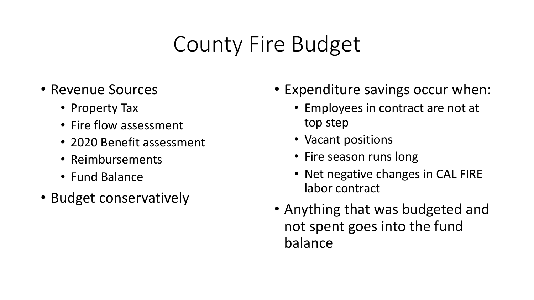## County Fire Budget

- Revenue Sources
	- Property Tax
	- Fire flow assessment
	- 2020 Benefit assessment
	- Reimbursements
	- Fund Balance
- Budget conservatively
- Expenditure savings occur when:
	- Employees in contract are not at top step
	- Vacant positions
	- Fire season runs long
	- Net negative changes in CAL FIRE labor contract
- Anything that was budgeted and not spent goes into the fund balance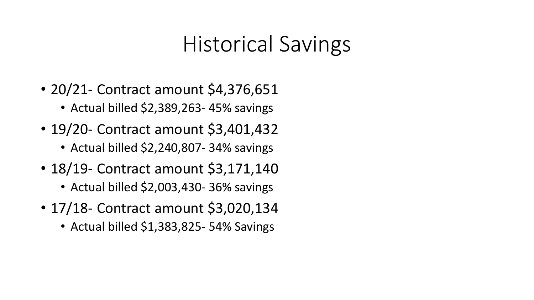#### Historical Savings

- 20/21 Contract amount \$4,376,651
	- Actual billed \$2,389,263- 45% savings
- 19/20- Contract amount \$3,401,432
	- Actual billed \$2,240,807- 34% savings
- 18/19 Contract amount \$3,171,140
	- Actual billed \$2,003,430- 36% savings
- 17/18- Contract amount \$3,020,134
	- Actual billed \$1,383,825-54% Savings